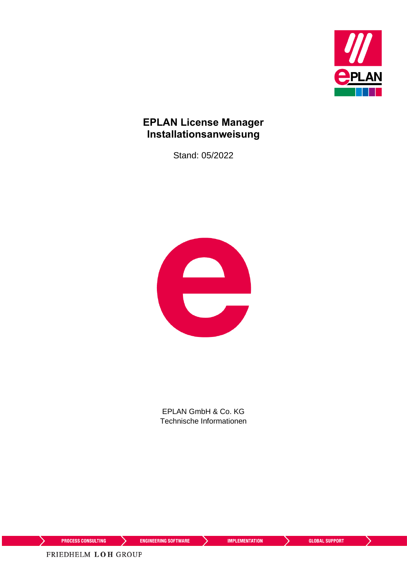

Stand: 05/2022



EPLAN GmbH & Co. KG Technische Informationen

⋋

╲

**IMPLEMENTATION** 

ゝ

⋋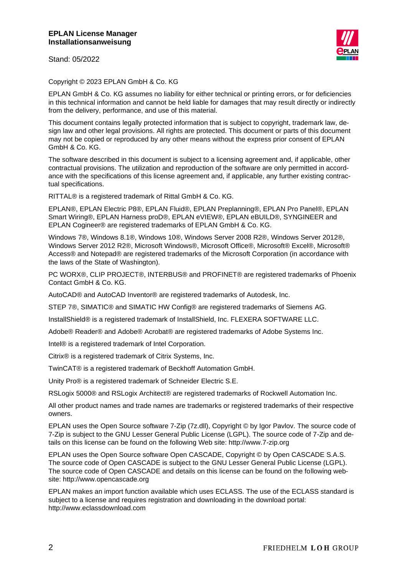

Stand: 05/2022

Copyright © 2023 EPLAN GmbH & Co. KG

EPLAN GmbH & Co. KG assumes no liability for either technical or printing errors, or for deficiencies in this technical information and cannot be held liable for damages that may result directly or indirectly from the delivery, performance, and use of this material.

This document contains legally protected information that is subject to copyright, trademark law, design law and other legal provisions. All rights are protected. This document or parts of this document may not be copied or reproduced by any other means without the express prior consent of EPLAN GmbH & Co. KG.

The software described in this document is subject to a licensing agreement and, if applicable, other contractual provisions. The utilization and reproduction of the software are only permitted in accordance with the specifications of this license agreement and, if applicable, any further existing contractual specifications.

RITTAL® is a registered trademark of Rittal GmbH & Co. KG.

EPLAN®, EPLAN Electric P8®, EPLAN Fluid®, EPLAN Preplanning®, EPLAN Pro Panel®, EPLAN Smart Wiring®, EPLAN Harness proD®, EPLAN eVIEW®, EPLAN eBUILD®, SYNGINEER and EPLAN Cogineer® are registered trademarks of EPLAN GmbH & Co. KG.

Windows 7®, Windows 8.1®, Windows 10®, Windows Server 2008 R2®, Windows Server 2012®, Windows Server 2012 R2®, Microsoft Windows®, Microsoft Office®, Microsoft® Excel®, Microsoft® Access® and Notepad® are registered trademarks of the Microsoft Corporation (in accordance with the laws of the State of Washington).

PC WORX®, CLIP PROJECT®, INTERBUS® and PROFINET® are registered trademarks of Phoenix Contact GmbH & Co. KG.

AutoCAD® and AutoCAD Inventor® are registered trademarks of Autodesk, Inc.

STEP 7®, SIMATIC® and SIMATIC HW Config® are registered trademarks of Siemens AG.

InstallShield® is a registered trademark of InstallShield, Inc. FLEXERA SOFTWARE LLC.

Adobe® Reader® and Adobe® Acrobat® are registered trademarks of Adobe Systems Inc.

Intel® is a registered trademark of Intel Corporation.

Citrix® is a registered trademark of Citrix Systems, Inc.

TwinCAT® is a registered trademark of Beckhoff Automation GmbH.

Unity Pro® is a registered trademark of Schneider Electric S.E.

RSLogix 5000® and RSLogix Architect® are registered trademarks of Rockwell Automation Inc.

All other product names and trade names are trademarks or registered trademarks of their respective owners.

EPLAN uses the Open Source software 7-Zip (7z.dll), Copyright © by Igor Pavlov. The source code of 7-Zip is subject to the GNU Lesser General Public License (LGPL). The source code of 7-Zip and details on this license can be found on the following Web site: http://www.7-zip.org

EPLAN uses the Open Source software Open CASCADE, Copyright © by Open CASCADE S.A.S. The source code of Open CASCADE is subject to the GNU Lesser General Public License (LGPL). The source code of Open CASCADE and details on this license can be found on the following website: http://www.opencascade.org

EPLAN makes an import function available which uses ECLASS. The use of the ECLASS standard is subject to a license and requires registration and downloading in the download portal: http://www.eclassdownload.com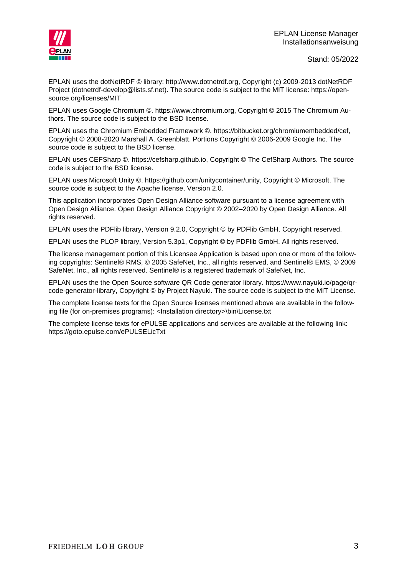

EPLAN uses the dotNetRDF © library: http://www.dotnetrdf.org, Copyright (c) 2009-2013 dotNetRDF Project (dotnetrdf-develop@lists.sf.net). The source code is subject to the MIT license: https://opensource.org/licenses/MIT

EPLAN uses Google Chromium ©. https://www.chromium.org, Copyright © 2015 The Chromium Authors. The source code is subject to the BSD license.

EPLAN uses the Chromium Embedded Framework ©. https://bitbucket.org/chromiumembedded/cef, Copyright © 2008-2020 Marshall A. Greenblatt. Portions Copyright © 2006-2009 Google Inc. The source code is subject to the BSD license.

EPLAN uses CEFSharp ©. https://cefsharp.github.io, Copyright © The CefSharp Authors. The source code is subject to the BSD license.

EPLAN uses Microsoft Unity ©. https://github.com/unitycontainer/unity, Copyright © Microsoft. The source code is subject to the Apache license, Version 2.0.

This application incorporates Open Design Alliance software pursuant to a license agreement with Open Design Alliance. Open Design Alliance Copyright © 2002–2020 by Open Design Alliance. All rights reserved.

EPLAN uses the PDFlib library, Version 9.2.0, Copyright © by PDFlib GmbH. Copyright reserved.

EPLAN uses the PLOP library, Version 5.3p1, Copyright © by PDFlib GmbH. All rights reserved.

The license management portion of this Licensee Application is based upon one or more of the following copyrights: Sentinel® RMS, © 2005 SafeNet, Inc., all rights reserved, and Sentinel® EMS, © 2009 SafeNet, Inc., all rights reserved. Sentinel® is a registered trademark of SafeNet, Inc.

EPLAN uses the the Open Source software QR Code generator library. https://www.nayuki.io/page/qrcode-generator-library, Copyright © by Project Nayuki. The source code is subject to the MIT License.

The complete license texts for the Open Source licenses mentioned above are available in the following file (for on-premises programs): <Installation directory>\bin\License.txt

The complete license texts for ePULSE applications and services are available at the following link: https://goto.epulse.com/ePULSELicTxt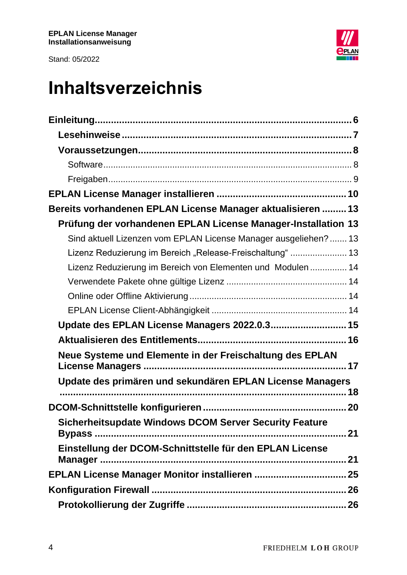

# **Inhaltsverzeichnis**

| Bereits vorhandenen EPLAN License Manager aktualisieren  13      |
|------------------------------------------------------------------|
| Prüfung der vorhandenen EPLAN License Manager-Installation 13    |
| Sind aktuell Lizenzen vom EPLAN License Manager ausgeliehen?  13 |
| Lizenz Reduzierung im Bereich "Release-Freischaltung"  13        |
| Lizenz Reduzierung im Bereich von Elementen und Modulen 14       |
|                                                                  |
|                                                                  |
|                                                                  |
| Update des EPLAN License Managers 2022.0.3 15                    |
|                                                                  |
| Neue Systeme und Elemente in der Freischaltung des EPLAN         |
| Update des primären und sekundären EPLAN License Managers        |
|                                                                  |
|                                                                  |
| <b>Sicherheitsupdate Windows DCOM Server Security Feature</b>    |
| Einstellung der DCOM-Schnittstelle für den EPLAN License         |
| EPLAN License Manager Monitor installieren  25                   |
|                                                                  |
|                                                                  |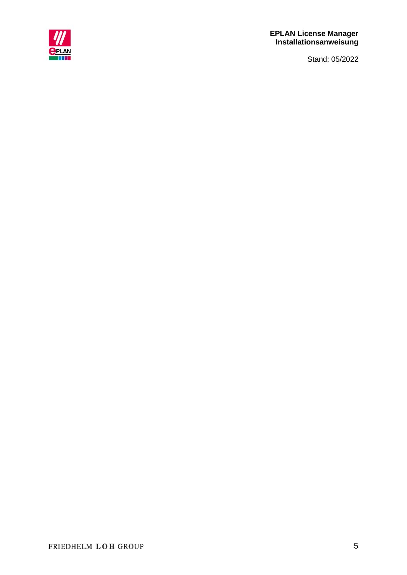

Stand: 05/2022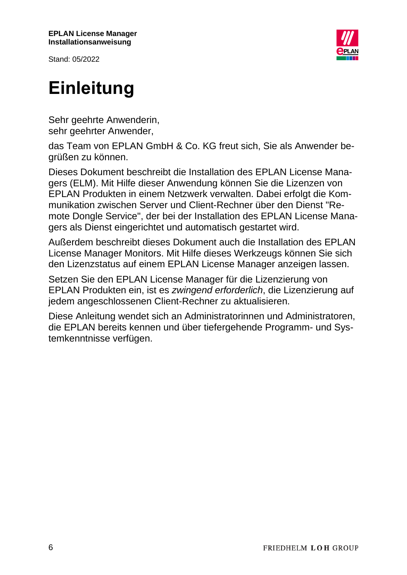

# <span id="page-5-0"></span>**Einleitung**

Sehr geehrte Anwenderin, sehr geehrter Anwender,

das Team von EPLAN GmbH & Co. KG freut sich, Sie als Anwender begrüßen zu können.

Dieses Dokument beschreibt die Installation des EPLAN License Managers (ELM). Mit Hilfe dieser Anwendung können Sie die Lizenzen von EPLAN Produkten in einem Netzwerk verwalten. Dabei erfolgt die Kommunikation zwischen Server und Client-Rechner über den Dienst "Remote Dongle Service", der bei der Installation des EPLAN License Managers als Dienst eingerichtet und automatisch gestartet wird.

Außerdem beschreibt dieses Dokument auch die Installation des EPLAN License Manager Monitors. Mit Hilfe dieses Werkzeugs können Sie sich den Lizenzstatus auf einem EPLAN License Manager anzeigen lassen.

Setzen Sie den EPLAN License Manager für die Lizenzierung von EPLAN Produkten ein, ist es *zwingend erforderlich*, die Lizenzierung auf jedem angeschlossenen Client-Rechner zu aktualisieren.

Diese Anleitung wendet sich an Administratorinnen und Administratoren, die EPLAN bereits kennen und über tiefergehende Programm- und Systemkenntnisse verfügen.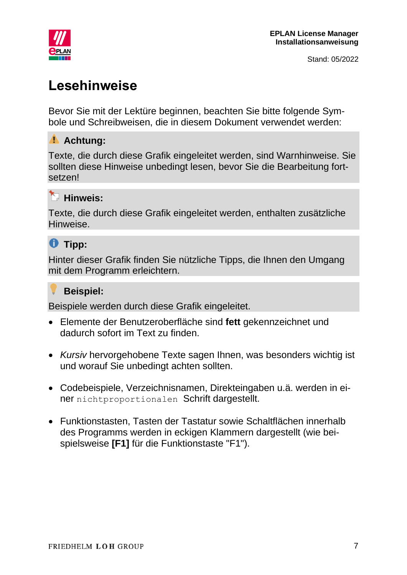

## <span id="page-6-0"></span>**Lesehinweise**

Bevor Sie mit der Lektüre beginnen, beachten Sie bitte folgende Symbole und Schreibweisen, die in diesem Dokument verwendet werden:

## **A** Achtung:

Texte, die durch diese Grafik eingeleitet werden, sind Warnhinweise. Sie sollten diese Hinweise unbedingt lesen, bevor Sie die Bearbeitung fortsetzen!

### **Hinweis:**

Texte, die durch diese Grafik eingeleitet werden, enthalten zusätzliche Hinweise.

## *<u>D* Tipp:</u>

Hinter dieser Grafik finden Sie nützliche Tipps, die Ihnen den Umgang mit dem Programm erleichtern.

#### V **Beispiel:**

Beispiele werden durch diese Grafik eingeleitet.

- Elemente der Benutzeroberfläche sind **fett** gekennzeichnet und dadurch sofort im Text zu finden.
- *Kursiv* hervorgehobene Texte sagen Ihnen, was besonders wichtig ist und worauf Sie unbedingt achten sollten.
- Codebeispiele, Verzeichnisnamen, Direkteingaben u.ä. werden in einer nichtproportionalen Schrift dargestellt.
- Funktionstasten, Tasten der Tastatur sowie Schaltflächen innerhalb des Programms werden in eckigen Klammern dargestellt (wie beispielsweise **[F1]** für die Funktionstaste "F1").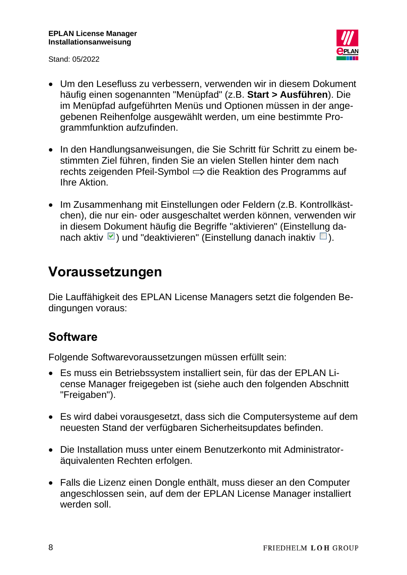

- Um den Lesefluss zu verbessern, verwenden wir in diesem Dokument häufig einen sogenannten "Menüpfad" (z.B. **Start > Ausführen**). Die im Menüpfad aufgeführten Menüs und Optionen müssen in der angegebenen Reihenfolge ausgewählt werden, um eine bestimmte Programmfunktion aufzufinden.
- In den Handlungsanweisungen, die Sie Schritt für Schritt zu einem bestimmten Ziel führen, finden Sie an vielen Stellen hinter dem nach rechts zeigenden Pfeil-Symbol  $\Rightarrow$  die Reaktion des Programms auf Ihre Aktion.
- Im Zusammenhang mit Einstellungen oder Feldern (z.B. Kontrollkästchen), die nur ein- oder ausgeschaltet werden können, verwenden wir in diesem Dokument häufig die Begriffe "aktivieren" (Einstellung danach aktiv  $\blacksquare$ ) und "deaktivieren" (Einstellung danach inaktiv  $\blacksquare$ ).

## <span id="page-7-0"></span>**Voraussetzungen**

Die Lauffähigkeit des EPLAN License Managers setzt die folgenden Bedingungen voraus:

## <span id="page-7-1"></span>**Software**

Folgende Softwarevoraussetzungen müssen erfüllt sein:

- Es muss ein Betriebssystem installiert sein, für das der EPLAN License Manager freigegeben ist (siehe auch den folgenden Abschnitt "Freigaben").
- Es wird dabei vorausgesetzt, dass sich die Computersysteme auf dem neuesten Stand der verfügbaren Sicherheitsupdates befinden.
- Die Installation muss unter einem Benutzerkonto mit Administratoräquivalenten Rechten erfolgen.
- Falls die Lizenz einen Dongle enthält, muss dieser an den Computer angeschlossen sein, auf dem der EPLAN License Manager installiert werden soll.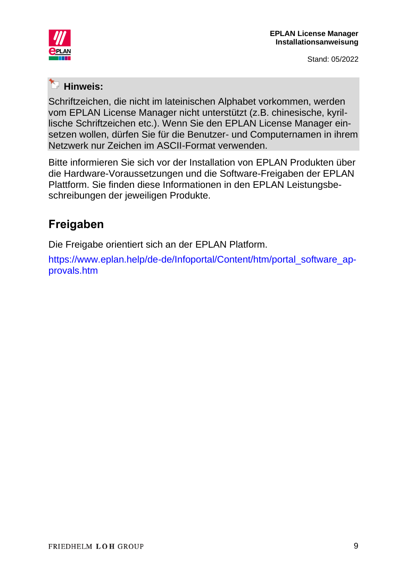

## **Hinweis:**

Schriftzeichen, die nicht im lateinischen Alphabet vorkommen, werden vom EPLAN License Manager nicht unterstützt (z.B. chinesische, kyrillische Schriftzeichen etc.). Wenn Sie den EPLAN License Manager einsetzen wollen, dürfen Sie für die Benutzer- und Computernamen in ihrem Netzwerk nur Zeichen im ASCII-Format verwenden.

Bitte informieren Sie sich vor der Installation von EPLAN Produkten über die Hardware-Voraussetzungen und die Software-Freigaben der EPLAN Plattform. Sie finden diese Informationen in den EPLAN Leistungsbeschreibungen der jeweiligen Produkte.

## <span id="page-8-0"></span>**Freigaben**

Die Freigabe orientiert sich an der EPLAN Platform.

[https://www.eplan.help/de-de/Infoportal/Content/htm/portal\\_software\\_ap](https://www.eplan.help/de-de/Infoportal/Content/htm/portal_software_approvals.htm)[provals.htm](https://www.eplan.help/de-de/Infoportal/Content/htm/portal_software_approvals.htm)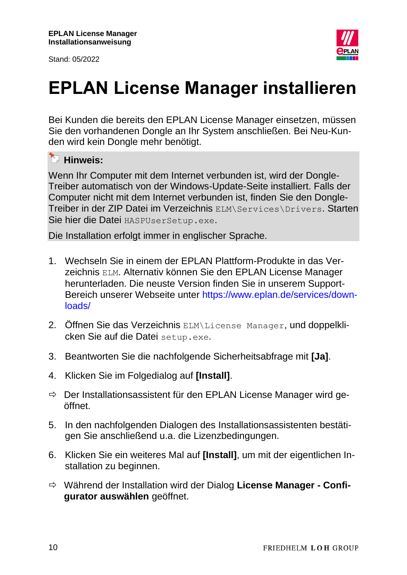

# <span id="page-9-0"></span>**EPLAN License Manager installieren**

Bei Kunden die bereits den EPLAN License Manager einsetzen, müssen Sie den vorhandenen Dongle an Ihr System anschließen. Bei Neu-Kunden wird kein Dongle mehr benötigt.

#### **Hinweis:**

Wenn Ihr Computer mit dem Internet verbunden ist, wird der Dongle-Treiber automatisch von der Windows-Update-Seite installiert. Falls der Computer nicht mit dem Internet verbunden ist, finden Sie den Dongle-Treiber in der ZIP Datei im Verzeichnis ELM\Services\Drivers. Starten Sie hier die Datei HASPUserSetup.exe.

Die Installation erfolgt immer in englischer Sprache.

- 1. Wechseln Sie in einem der EPLAN Plattform-Produkte in das Verzeichnis ELM. Alternativ können Sie den EPLAN License Manager herunterladen. Die neuste Version finden Sie in unserem Support-Bereich unserer Webseite unter [https://www.eplan.de/services/down](https://www.eplan.de/services/downloads/)[loads/](https://www.eplan.de/services/downloads/)
- 2. Offnen Sie das Verzeichnis ELM\License Manager, und doppelklicken Sie auf die Datei setup.exe.
- 3. Beantworten Sie die nachfolgende Sicherheitsabfrage mit **[Ja]**.
- 4. Klicken Sie im Folgedialog auf **[Install]**.
- $\Rightarrow$  Der Installationsassistent für den EPLAN License Manager wird geöffnet.
- 5. In den nachfolgenden Dialogen des Installationsassistenten bestätigen Sie anschließend u.a. die Lizenzbedingungen.
- 6. Klicken Sie ein weiteres Mal auf **[Install]**, um mit der eigentlichen Installation zu beginnen.
- Während der Installation wird der Dialog **License Manager - Configurator auswählen** geöffnet.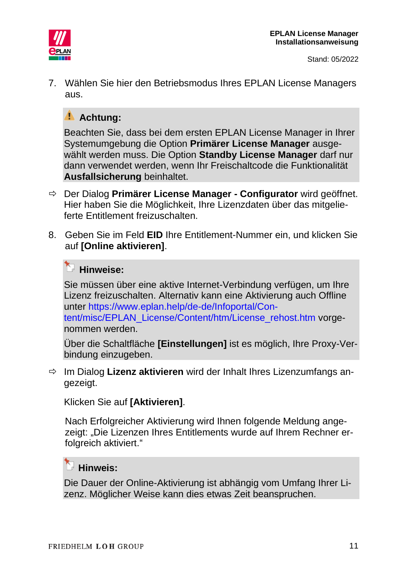

7. Wählen Sie hier den Betriebsmodus Ihres EPLAN License Managers aus.

## **Achtung:**

Beachten Sie, dass bei dem ersten EPLAN License Manager in Ihrer Systemumgebung die Option **Primärer License Manager** ausgewählt werden muss. Die Option **Standby License Manager** darf nur dann verwendet werden, wenn Ihr Freischaltcode die Funktionalität **Ausfallsicherung** beinhaltet.

- Der Dialog **Primärer License Manager - Configurator** wird geöffnet. Hier haben Sie die Möglichkeit, Ihre Lizenzdaten über das mitgelieferte Entitlement freizuschalten.
- 8. Geben Sie im Feld **EID** Ihre Entitlement-Nummer ein, und klicken Sie auf **[Online aktivieren]**.

## **Hinweise:**

Sie müssen über eine aktive Internet-Verbindung verfügen, um Ihre Lizenz freizuschalten. Alternativ kann eine Aktivierung auch Offline unter [https://www.eplan.help/de-de/Infoportal/Con](https://www.eplan.help/de-de/Infoportal/Content/misc/EPLAN_License/Content/htm/License_rehost.htm)[tent/misc/EPLAN\\_License/Content/htm/License\\_rehost.htm](https://www.eplan.help/de-de/Infoportal/Content/misc/EPLAN_License/Content/htm/License_rehost.htm) vorgenommen werden.

Über die Schaltfläche **[Einstellungen]** ist es möglich, Ihre Proxy-Verbindung einzugeben.

 Im Dialog **Lizenz aktivieren** wird der Inhalt Ihres Lizenzumfangs angezeigt.

Klicken Sie auf **[Aktivieren]**.

Nach Erfolgreicher Aktivierung wird Ihnen folgende Meldung angezeigt: "Die Lizenzen Ihres Entitlements wurde auf Ihrem Rechner erfolgreich aktiviert."

## **Hinweis:**

Die Dauer der Online-Aktivierung ist abhängig vom Umfang Ihrer Lizenz. Möglicher Weise kann dies etwas Zeit beanspruchen.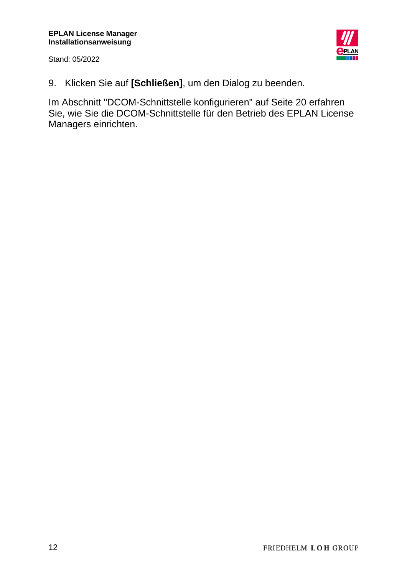Stand: 05/2022



9. Klicken Sie auf **[Schließen]**, um den Dialog zu beenden.

Im Abschnitt "DCOM-Schnittstelle konfigurieren" auf Seite 20 erfahren Sie, wie Sie die DCOM-Schnittstelle für den Betrieb des EPLAN License Managers einrichten.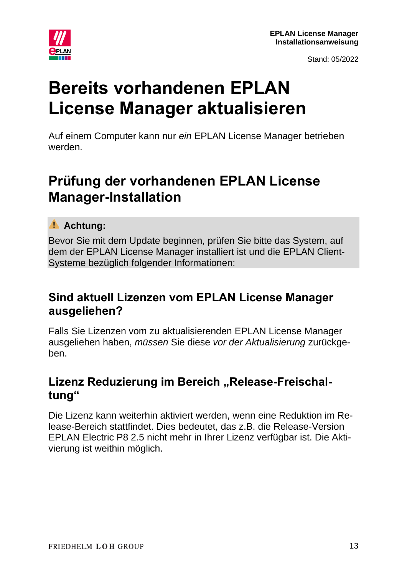

# <span id="page-12-0"></span>**Bereits vorhandenen EPLAN License Manager aktualisieren**

Auf einem Computer kann nur *ein* EPLAN License Manager betrieben werden.

## <span id="page-12-1"></span>**Prüfung der vorhandenen EPLAN License Manager-Installation**

## **Achtung:**

Bevor Sie mit dem Update beginnen, prüfen Sie bitte das System, auf dem der EPLAN License Manager installiert ist und die EPLAN Client-Systeme bezüglich folgender Informationen:

## <span id="page-12-2"></span>**Sind aktuell Lizenzen vom EPLAN License Manager ausgeliehen?**

Falls Sie Lizenzen vom zu aktualisierenden EPLAN License Manager ausgeliehen haben, *müssen* Sie diese *vor der Aktualisierung* zurückgeben.

## <span id="page-12-3"></span>Lizenz Reduzierung im Bereich "Release-Freischal**tung"**

Die Lizenz kann weiterhin aktiviert werden, wenn eine Reduktion im Release-Bereich stattfindet. Dies bedeutet, das z.B. die Release-Version EPLAN Electric P8 2.5 nicht mehr in Ihrer Lizenz verfügbar ist. Die Aktivierung ist weithin möglich.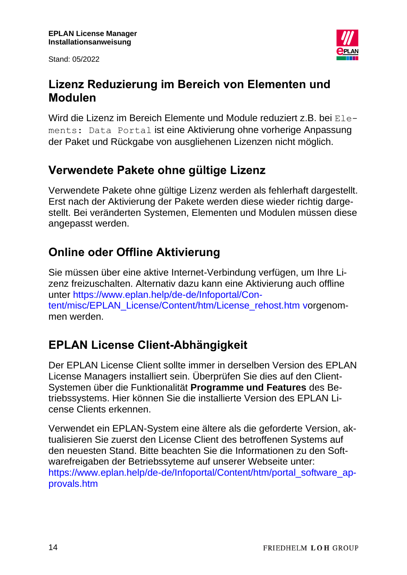

## <span id="page-13-0"></span>**Lizenz Reduzierung im Bereich von Elementen und Modulen**

Wird die Lizenz im Bereich Elemente und Module reduziert z.B. bei Elements: Data Portal ist eine Aktivierung ohne vorherige Anpassung der Paket und Rückgabe von ausgliehenen Lizenzen nicht möglich.

## <span id="page-13-1"></span>**Verwendete Pakete ohne gültige Lizenz**

Verwendete Pakete ohne gültige Lizenz werden als fehlerhaft dargestellt. Erst nach der Aktivierung der Pakete werden diese wieder richtig dargestellt. Bei veränderten Systemen, Elementen und Modulen müssen diese angepasst werden.

## <span id="page-13-2"></span>**Online oder Offline Aktivierung**

Sie müssen über eine aktive Internet-Verbindung verfügen, um Ihre Lizenz freizuschalten. Alternativ dazu kann eine Aktivierung auch offline unter [https://www.eplan.help/de-de/Infoportal/Con](https://www.eplan.help/de-de/Infoportal/Content/misc/EPLAN_License/Content/htm/License_rehost.htm)[tent/misc/EPLAN\\_License/Content/htm/License\\_rehost.htm](https://www.eplan.help/de-de/Infoportal/Content/misc/EPLAN_License/Content/htm/License_rehost.htm) vorgenommen werden.

## <span id="page-13-3"></span>**EPLAN License Client-Abhängigkeit**

Der EPLAN License Client sollte immer in derselben Version des EPLAN License Managers installiert sein. Überprüfen Sie dies auf den Client-Systemen über die Funktionalität **Programme und Features** des Betriebssystems. Hier können Sie die installierte Version des EPLAN License Clients erkennen.

Verwendet ein EPLAN-System eine ältere als die geforderte Version, aktualisieren Sie zuerst den License Client des betroffenen Systems auf den neuesten Stand. Bitte beachten Sie die Informationen zu den Softwarefreigaben der Betriebssyteme auf unserer Webseite unter: [https://www.eplan.help/de-de/Infoportal/Content/htm/portal\\_software\\_ap](https://www.eplan.help/de-de/Infoportal/Content/htm/portal_software_approvals.htm)[provals.htm](https://www.eplan.help/de-de/Infoportal/Content/htm/portal_software_approvals.htm)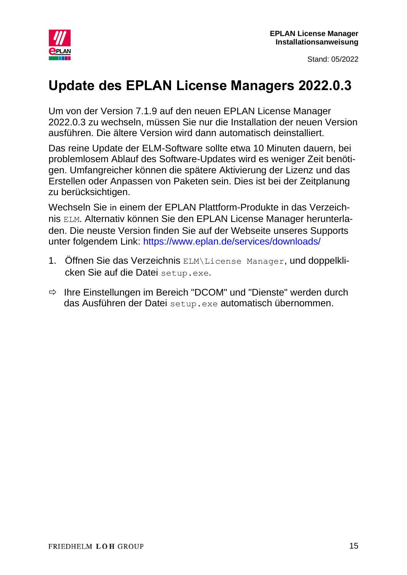

## <span id="page-14-0"></span>**Update des EPLAN License Managers 2022.0.3**

Um von der Version 7.1.9 auf den neuen EPLAN License Manager 2022.0.3 zu wechseln, müssen Sie nur die Installation der neuen Version ausführen. Die ältere Version wird dann automatisch deinstalliert.

Das reine Update der ELM-Software sollte etwa 10 Minuten dauern, bei problemlosem Ablauf des Software-Updates wird es weniger Zeit benötigen. Umfangreicher können die spätere Aktivierung der Lizenz und das Erstellen oder Anpassen von Paketen sein. Dies ist bei der Zeitplanung zu berücksichtigen.

Wechseln Sie in einem der EPLAN Plattform-Produkte in das Verzeichnis ELM. Alternativ können Sie den EPLAN License Manager herunterladen. Die neuste Version finden Sie auf der Webseite unseres Supports unter folgendem Link: <https://www.eplan.de/services/downloads/>

- 1. Öffnen Sie das Verzeichnis ELM\License Manager, und doppelklicken Sie auf die Datei setup.exe.
- $\Rightarrow$  Ihre Einstellungen im Bereich "DCOM" und "Dienste" werden durch das Ausführen der Datei setup.exe automatisch übernommen.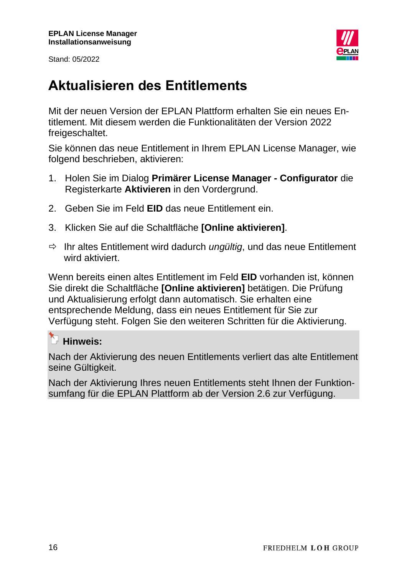

## <span id="page-15-0"></span>**Aktualisieren des Entitlements**

Mit der neuen Version der EPLAN Plattform erhalten Sie ein neues Entitlement. Mit diesem werden die Funktionalitäten der Version 2022 freigeschaltet.

Sie können das neue Entitlement in Ihrem EPLAN License Manager, wie folgend beschrieben, aktivieren:

- 1. Holen Sie im Dialog **Primärer License Manager - Configurator** die Registerkarte **Aktivieren** in den Vordergrund.
- 2. Geben Sie im Feld **EID** das neue Entitlement ein.
- 3. Klicken Sie auf die Schaltfläche **[Online aktivieren]**.
- $\Rightarrow$  Ihr altes Entitlement wird dadurch *ungültig*, und das neue Entitlement wird aktiviert.

Wenn bereits einen altes Entitlement im Feld **EID** vorhanden ist, können Sie direkt die Schaltfläche **[Online aktivieren]** betätigen. Die Prüfung und Aktualisierung erfolgt dann automatisch. Sie erhalten eine entsprechende Meldung, dass ein neues Entitlement für Sie zur Verfügung steht. Folgen Sie den weiteren Schritten für die Aktivierung.

## **Hinweis:**

Nach der Aktivierung des neuen Entitlements verliert das alte Entitlement seine Gültigkeit.

Nach der Aktivierung Ihres neuen Entitlements steht Ihnen der Funktionsumfang für die EPLAN Plattform ab der Version 2.6 zur Verfügung.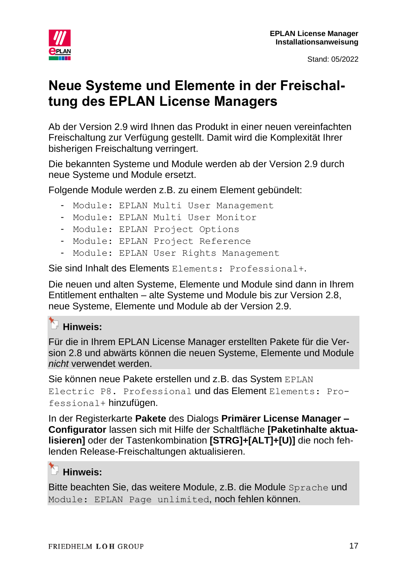

## <span id="page-16-0"></span>**Neue Systeme und Elemente in der Freischaltung des EPLAN License Managers**

Ab der Version 2.9 wird Ihnen das Produkt in einer neuen vereinfachten Freischaltung zur Verfügung gestellt. Damit wird die Komplexität Ihrer bisherigen Freischaltung verringert.

Die bekannten Systeme und Module werden ab der Version 2.9 durch neue Systeme und Module ersetzt.

Folgende Module werden z.B. zu einem Element gebündelt:

- Module: EPLAN Multi User Management
- Module: EPLAN Multi User Monitor
- Module: EPLAN Project Options
- Module: EPLAN Project Reference
- Module: EPLAN User Rights Management

Sie sind Inhalt des Elements Elements: Professional+.

Die neuen und alten Systeme, Elemente und Module sind dann in Ihrem Entitlement enthalten – alte Systeme und Module bis zur Version 2.8, neue Systeme, Elemente und Module ab der Version 2.9.

## **Hinweis:**

Für die in Ihrem EPLAN License Manager erstellten Pakete für die Version 2.8 und abwärts können die neuen Systeme, Elemente und Module *nicht* verwendet werden.

Sie können neue Pakete erstellen und z.B. das System EPLAN Electric P8. Professional und das Element Elements: Professional+ hinzufügen.

In der Registerkarte **Pakete** des Dialogs **Primärer License Manager – Configurator** lassen sich mit Hilfe der Schaltfläche **[Paketinhalte aktualisieren]** oder der Tastenkombination **[STRG]+[ALT]+[U)]** die noch fehlenden Release-Freischaltungen aktualisieren.

## **Hinweis:**

Bitte beachten Sie, das weitere Module, z.B. die Module Sprache und Module: EPLAN Page unlimited, noch fehlen können.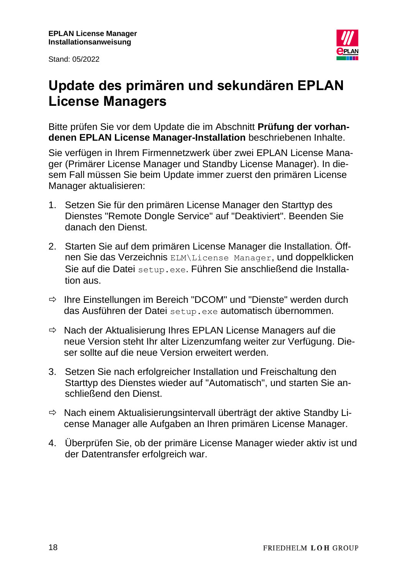

# <span id="page-17-0"></span>**Update des primären und sekundären EPLAN License Managers**

Bitte prüfen Sie vor dem Update die im Abschnitt **Prüfung der vorhandenen EPLAN License Manager-Installation** beschriebenen Inhalte.

Sie verfügen in Ihrem Firmennetzwerk über zwei EPLAN License Manager (Primärer License Manager und Standby License Manager). In diesem Fall müssen Sie beim Update immer zuerst den primären License Manager aktualisieren:

- 1. Setzen Sie für den primären License Manager den Starttyp des Dienstes "Remote Dongle Service" auf "Deaktiviert". Beenden Sie danach den Dienst.
- 2. Starten Sie auf dem primären License Manager die Installation. Öffnen Sie das Verzeichnis ELM\License Manager, und doppelklicken Sie auf die Datei setup.exe. Führen Sie anschließend die Installation aus.
- $\Rightarrow$  Ihre Einstellungen im Bereich "DCOM" und "Dienste" werden durch das Ausführen der Datei setup.exe automatisch übernommen.
- $\Rightarrow$  Nach der Aktualisierung Ihres EPLAN License Managers auf die neue Version steht Ihr alter Lizenzumfang weiter zur Verfügung. Dieser sollte auf die neue Version erweitert werden.
- 3. Setzen Sie nach erfolgreicher Installation und Freischaltung den Starttyp des Dienstes wieder auf "Automatisch", und starten Sie anschließend den Dienst.
- $\Rightarrow$  Nach einem Aktualisierungsintervall überträgt der aktive Standby License Manager alle Aufgaben an Ihren primären License Manager.
- 4. Überprüfen Sie, ob der primäre License Manager wieder aktiv ist und der Datentransfer erfolgreich war.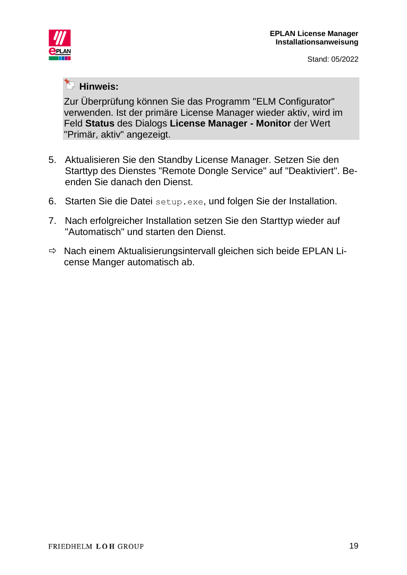

### **Hinweis:**

Zur Überprüfung können Sie das Programm "ELM Configurator" verwenden. Ist der primäre License Manager wieder aktiv, wird im Feld **Status** des Dialogs **License Manager - Monitor** der Wert "Primär, aktiv" angezeigt.

- 5. Aktualisieren Sie den Standby License Manager. Setzen Sie den Starttyp des Dienstes "Remote Dongle Service" auf "Deaktiviert". Beenden Sie danach den Dienst.
- 6. Starten Sie die Datei setup.exe, und folgen Sie der Installation.
- 7. Nach erfolgreicher Installation setzen Sie den Starttyp wieder auf "Automatisch" und starten den Dienst.
- $\Rightarrow$  Nach einem Aktualisierungsintervall gleichen sich beide EPLAN License Manger automatisch ab.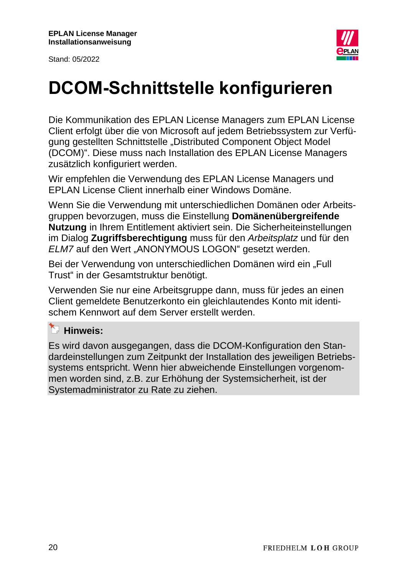

# <span id="page-19-0"></span>**DCOM-Schnittstelle konfigurieren**

Die Kommunikation des EPLAN License Managers zum EPLAN License Client erfolgt über die von Microsoft auf jedem Betriebssystem zur Verfügung gestellten Schnittstelle "Distributed Component Object Model (DCOM)". Diese muss nach Installation des EPLAN License Managers zusätzlich konfiguriert werden.

Wir empfehlen die Verwendung des EPLAN License Managers und EPLAN License Client innerhalb einer Windows Domäne.

Wenn Sie die Verwendung mit unterschiedlichen Domänen oder Arbeitsgruppen bevorzugen, muss die Einstellung **Domänenübergreifende Nutzung** in Ihrem Entitlement aktiviert sein. Die Sicherheiteinstellungen im Dialog **Zugriffsberechtigung** muss für den *Arbeitsplatz* und für den *ELM7* auf den Wert "ANONYMOUS LOGON" gesetzt werden.

Bei der Verwendung von unterschiedlichen Domänen wird ein "Full Trust" in der Gesamtstruktur benötigt.

Verwenden Sie nur eine Arbeitsgruppe dann, muss für jedes an einen Client gemeldete Benutzerkonto ein gleichlautendes Konto mit identischem Kennwort auf dem Server erstellt werden.

### **Hinweis:**

Es wird davon ausgegangen, dass die DCOM-Konfiguration den Standardeinstellungen zum Zeitpunkt der Installation des jeweiligen Betriebssystems entspricht. Wenn hier abweichende Einstellungen vorgenommen worden sind, z.B. zur Erhöhung der Systemsicherheit, ist der Systemadministrator zu Rate zu ziehen.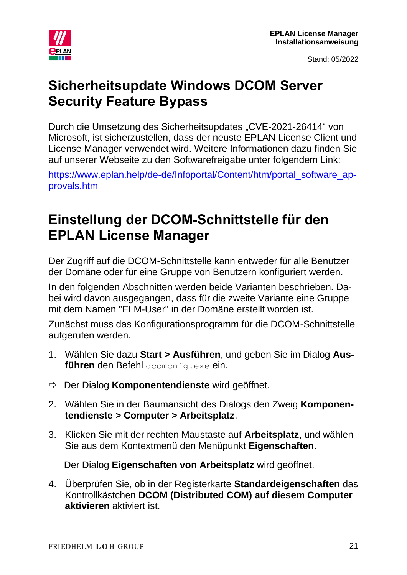

## <span id="page-20-0"></span>**Sicherheitsupdate Windows DCOM Server Security Feature Bypass**

Durch die Umsetzung des Sicherheitsupdates "CVE-2021-26414" von Microsoft, ist sicherzustellen, dass der neuste EPLAN License Client und License Manager verwendet wird. Weitere Informationen dazu finden Sie auf unserer Webseite zu den Softwarefreigabe unter folgendem Link:

[https://www.eplan.help/de-de/Infoportal/Content/htm/portal\\_software\\_ap](https://www.eplan.help/de-de/Infoportal/Content/htm/portal_software_approvals.htm)[provals.htm](https://www.eplan.help/de-de/Infoportal/Content/htm/portal_software_approvals.htm)

## <span id="page-20-1"></span>**Einstellung der DCOM-Schnittstelle für den EPLAN License Manager**

Der Zugriff auf die DCOM-Schnittstelle kann entweder für alle Benutzer der Domäne oder für eine Gruppe von Benutzern konfiguriert werden.

In den folgenden Abschnitten werden beide Varianten beschrieben. Dabei wird davon ausgegangen, dass für die zweite Variante eine Gruppe mit dem Namen "ELM-User" in der Domäne erstellt worden ist.

Zunächst muss das Konfigurationsprogramm für die DCOM-Schnittstelle aufgerufen werden.

- 1. Wählen Sie dazu **Start > Ausführen**, und geben Sie im Dialog **Aus**führen den Befehl dcomenfg.exe ein.
- Der Dialog **Komponentendienste** wird geöffnet.
- 2. Wählen Sie in der Baumansicht des Dialogs den Zweig **Komponentendienste > Computer > Arbeitsplatz**.
- 3. Klicken Sie mit der rechten Maustaste auf **Arbeitsplatz**, und wählen Sie aus dem Kontextmenü den Menüpunkt **Eigenschaften**.

Der Dialog **Eigenschaften von Arbeitsplatz** wird geöffnet.

4. Überprüfen Sie, ob in der Registerkarte **Standardeigenschaften** das Kontrollkästchen **DCOM (Distributed COM) auf diesem Computer aktivieren** aktiviert ist.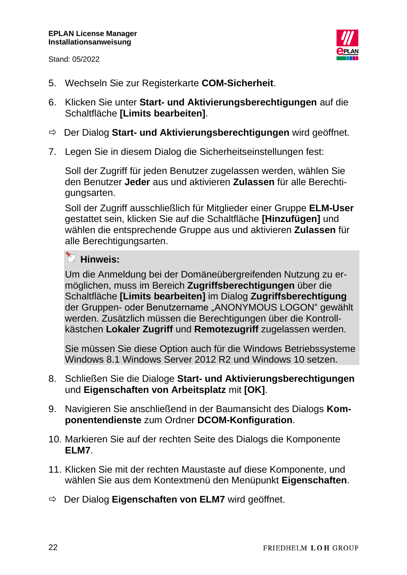

- 5. Wechseln Sie zur Registerkarte **COM-Sicherheit**.
- 6. Klicken Sie unter **Start- und Aktivierungsberechtigungen** auf die Schaltfläche **[Limits bearbeiten]**.
- Der Dialog **Start- und Aktivierungsberechtigungen** wird geöffnet.
- 7. Legen Sie in diesem Dialog die Sicherheitseinstellungen fest:

Soll der Zugriff für jeden Benutzer zugelassen werden, wählen Sie den Benutzer **Jeder** aus und aktivieren **Zulassen** für alle Berechtigungsarten.

Soll der Zugriff ausschließlich für Mitglieder einer Gruppe **ELM-User** gestattet sein, klicken Sie auf die Schaltfläche **[Hinzufügen]** und wählen die entsprechende Gruppe aus und aktivieren **Zulassen** für alle Berechtigungsarten.

#### **Hinweis:**

Um die Anmeldung bei der Domäneübergreifenden Nutzung zu ermöglichen, muss im Bereich **Zugriffsberechtigungen** über die Schaltfläche **[Limits bearbeiten]** im Dialog **Zugriffsberechtigung** der Gruppen- oder Benutzername "ANONYMOUS LOGON" gewählt werden. Zusätzlich müssen die Berechtigungen über die Kontrollkästchen **Lokaler Zugriff** und **Remotezugriff** zugelassen werden.

Sie müssen Sie diese Option auch für die Windows Betriebssysteme Windows 8.1 Windows Server 2012 R2 und Windows 10 setzen.

- 8. Schließen Sie die Dialoge **Start- und Aktivierungsberechtigungen** und **Eigenschaften von Arbeitsplatz** mit **[OK]**.
- 9. Navigieren Sie anschließend in der Baumansicht des Dialogs **Komponentendienste** zum Ordner **DCOM-Konfiguration**.
- 10. Markieren Sie auf der rechten Seite des Dialogs die Komponente **ELM7**.
- 11. Klicken Sie mit der rechten Maustaste auf diese Komponente, und wählen Sie aus dem Kontextmenü den Menüpunkt **Eigenschaften**.
- Der Dialog **Eigenschaften von ELM7** wird geöffnet.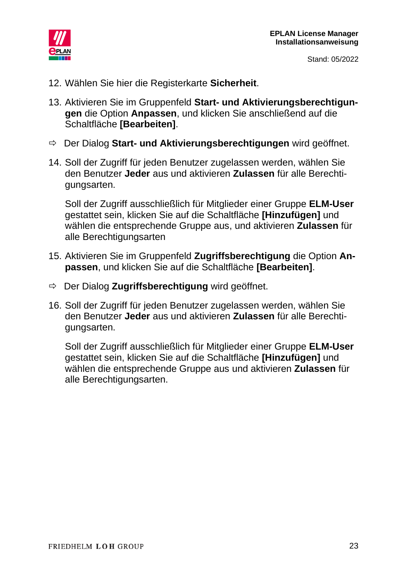

- 12. Wählen Sie hier die Registerkarte **Sicherheit**.
- 13. Aktivieren Sie im Gruppenfeld **Start- und Aktivierungsberechtigungen** die Option **Anpassen**, und klicken Sie anschließend auf die Schaltfläche **[Bearbeiten]**.
- Der Dialog **Start- und Aktivierungsberechtigungen** wird geöffnet.
- 14. Soll der Zugriff für jeden Benutzer zugelassen werden, wählen Sie den Benutzer **Jeder** aus und aktivieren **Zulassen** für alle Berechtigungsarten.

Soll der Zugriff ausschließlich für Mitglieder einer Gruppe **ELM-User** gestattet sein, klicken Sie auf die Schaltfläche **[Hinzufügen]** und wählen die entsprechende Gruppe aus, und aktivieren **Zulassen** für alle Berechtigungsarten

- 15. Aktivieren Sie im Gruppenfeld **Zugriffsberechtigung** die Option **Anpassen**, und klicken Sie auf die Schaltfläche **[Bearbeiten]**.
- Der Dialog **Zugriffsberechtigung** wird geöffnet.
- 16. Soll der Zugriff für jeden Benutzer zugelassen werden, wählen Sie den Benutzer **Jeder** aus und aktivieren **Zulassen** für alle Berechtigungsarten.

Soll der Zugriff ausschließlich für Mitglieder einer Gruppe **ELM-User** gestattet sein, klicken Sie auf die Schaltfläche **[Hinzufügen]** und wählen die entsprechende Gruppe aus und aktivieren **Zulassen** für alle Berechtigungsarten.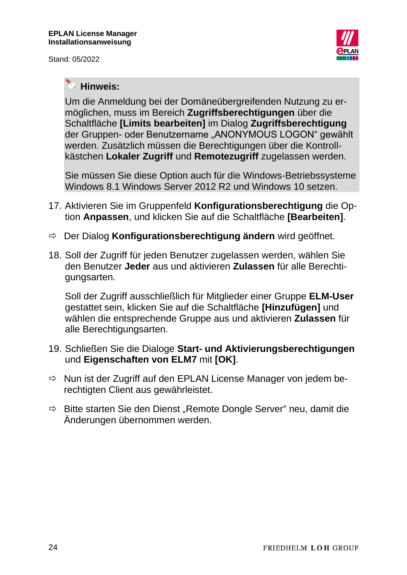

### **Hinweis:**

Um die Anmeldung bei der Domäneübergreifenden Nutzung zu ermöglichen, muss im Bereich **Zugriffsberechtigungen** über die Schaltfläche **[Limits bearbeiten]** im Dialog **Zugriffsberechtigung** der Gruppen- oder Benutzername "ANONYMOUS LOGON" gewählt werden. Zusätzlich müssen die Berechtigungen über die Kontrollkästchen **Lokaler Zugriff** und **Remotezugriff** zugelassen werden.

Sie müssen Sie diese Option auch für die Windows-Betriebssysteme Windows 8.1 Windows Server 2012 R2 und Windows 10 setzen.

- 17. Aktivieren Sie im Gruppenfeld **Konfigurationsberechtigung** die Option **Anpassen**, und klicken Sie auf die Schaltfläche **[Bearbeiten]**.
- Der Dialog **Konfigurationsberechtigung ändern** wird geöffnet.
- 18. Soll der Zugriff für jeden Benutzer zugelassen werden, wählen Sie den Benutzer **Jeder** aus und aktivieren **Zulassen** für alle Berechtigungsarten.

Soll der Zugriff ausschließlich für Mitglieder einer Gruppe **ELM-User** gestattet sein, klicken Sie auf die Schaltfläche **[Hinzufügen]** und wählen die entsprechende Gruppe aus und aktivieren **Zulassen** für alle Berechtigungsarten.

- 19. Schließen Sie die Dialoge **Start- und Aktivierungsberechtigungen** und **Eigenschaften von ELM7** mit **[OK]**.
- $\Rightarrow$  Nun ist der Zugriff auf den EPLAN License Manager von jedem berechtigten Client aus gewährleistet.
- $\Rightarrow$  Bitte starten Sie den Dienst "Remote Dongle Server" neu, damit die Änderungen übernommen werden.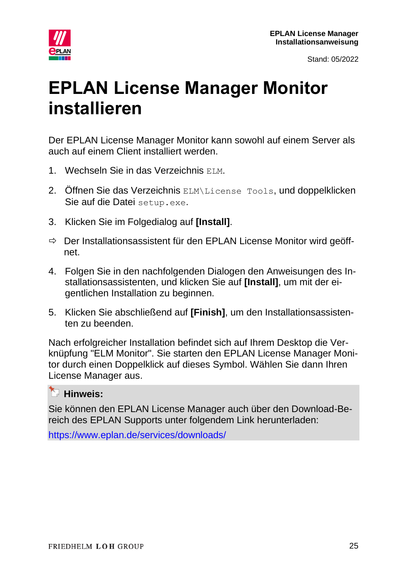

# <span id="page-24-0"></span>**EPLAN License Manager Monitor installieren**

Der EPLAN License Manager Monitor kann sowohl auf einem Server als auch auf einem Client installiert werden.

- 1. Wechseln Sie in das Verzeichnis ELM.
- 2. Öffnen Sie das Verzeichnis ELM\License Tools, und doppelklicken Sie auf die Datei setup.exe.
- 3. Klicken Sie im Folgedialog auf **[Install]**.
- $\Rightarrow$  Der Installationsassistent für den EPLAN License Monitor wird geöffnet.
- 4. Folgen Sie in den nachfolgenden Dialogen den Anweisungen des Installationsassistenten, und klicken Sie auf **[Install]**, um mit der eigentlichen Installation zu beginnen.
- 5. Klicken Sie abschließend auf **[Finish]**, um den Installationsassistenten zu beenden.

Nach erfolgreicher Installation befindet sich auf Ihrem Desktop die Verknüpfung "ELM Monitor". Sie starten den EPLAN License Manager Monitor durch einen Doppelklick auf dieses Symbol. Wählen Sie dann Ihren License Manager aus.

## **Hinweis:**

Sie können den EPLAN License Manager auch über den Download-Bereich des EPLAN Supports unter [folgendem Link herunterladen:](file:///C:/Users/ron/AppData/Local/Microsoft/Windows/INetCache/Content.Outlook/LTEI6L0C/folgendem%20Link%20herunterladen:%20https:/www.eplan.de/services/downloads/)

<https://www.eplan.de/services/downloads/>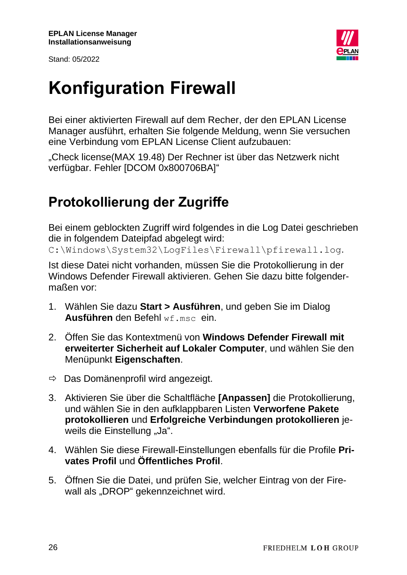

# <span id="page-25-0"></span>**Konfiguration Firewall**

Bei einer aktivierten Firewall auf dem Recher, der den EPLAN License Manager ausführt, erhalten Sie folgende Meldung, wenn Sie versuchen eine Verbindung vom EPLAN License Client aufzubauen:

"Check license(MAX 19.48) Der Rechner ist über das Netzwerk nicht verfügbar. Fehler [DCOM 0x800706BA]"

# <span id="page-25-1"></span>**Protokollierung der Zugriffe**

Bei einem geblockten Zugriff wird folgendes in die Log Datei geschrieben die in folgendem Dateipfad abgelegt wird:

C:\Windows\System32\LogFiles\Firewall\pfirewall.log.

Ist diese Datei nicht vorhanden, müssen Sie die Protokollierung in der Windows Defender Firewall aktivieren. Gehen Sie dazu bitte folgendermaßen vor:

- 1. Wählen Sie dazu **Start > Ausführen**, und geben Sie im Dialog **Ausführen** den Befehl wf.msc ein.
- 2. Öffen Sie das Kontextmenü von **Windows Defender Firewall mit erweiterter Sicherheit auf Lokaler Computer**, und wählen Sie den Menüpunkt **Eigenschaften**.
- $\Rightarrow$  Das Domänenprofil wird angezeigt.
- 3. Aktivieren Sie über die Schaltfläche **[Anpassen]** die Protokollierung, und wählen Sie in den aufklappbaren Listen **Verworfene Pakete protokollieren** und **Erfolgreiche Verbindungen protokollieren** jeweils die Einstellung "Ja".
- 4. Wählen Sie diese Firewall-Einstellungen ebenfalls für die Profile **Privates Profil** und **Öffentliches Profil**.
- 5. Öffnen Sie die Datei, und prüfen Sie, welcher Eintrag von der Firewall als "DROP" gekennzeichnet wird.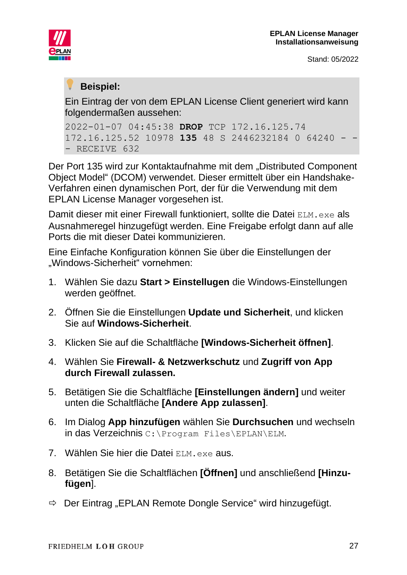

#### **Beispiel:**

Ein Eintrag der von dem EPLAN License Client generiert wird kann folgendermaßen aussehen:

```
2022-01-07 04:45:38 DROP TCP 172.16.125.74 
172.16.125.52 10978 135 48 S 2446232184 0 64240
- RECEIVE 632
```
Der Port 135 wird zur Kontaktaufnahme mit dem "Distributed Component Object Model" (DCOM) verwendet. Dieser ermittelt über ein Handshake-Verfahren einen dynamischen Port, der für die Verwendung mit dem EPLAN License Manager vorgesehen ist.

Damit dieser mit einer Firewall funktioniert, sollte die Datei ELM. exe als Ausnahmeregel hinzugefügt werden. Eine Freigabe erfolgt dann auf alle Ports die mit dieser Datei kommunizieren.

Eine Einfache Konfiguration können Sie über die Einstellungen der ..Windows-Sicherheit" vornehmen:

- 1. Wählen Sie dazu **Start > Einstellugen** die Windows-Einstellungen werden geöffnet.
- 2. Öffnen Sie die Einstellungen **Update und Sicherheit**, und klicken Sie auf **Windows-Sicherheit**.
- 3. Klicken Sie auf die Schaltfläche **[Windows-Sicherheit öffnen]**.
- 4. Wählen Sie **Firewall- & Netzwerkschutz** und **Zugriff von App durch Firewall zulassen.**
- 5. Betätigen Sie die Schaltfläche **[Einstellungen ändern]** und weiter unten die Schaltfläche **[Andere App zulassen]**.
- 6. Im Dialog **App hinzufügen** wählen Sie **Durchsuchen** und wechseln in das Verzeichnis C:\Program Files\EPLAN\ELM.
- 7. Wählen Sie hier die Datei ELM.exe aus.
- 8. Betätigen Sie die Schaltflächen **[Öffnen]** und anschließend **[Hinzufügen**].
- $\Rightarrow$  Der Eintrag "EPLAN Remote Dongle Service" wird hinzugefügt.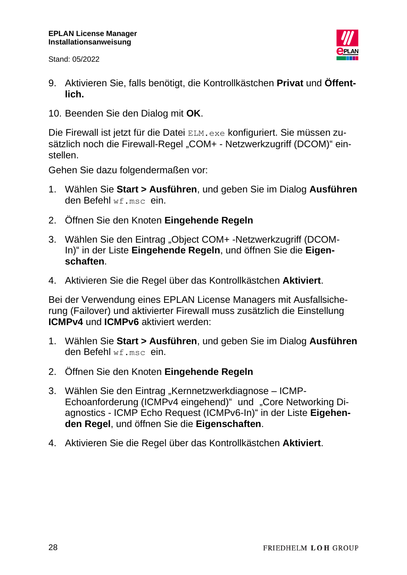

- 9. Aktivieren Sie, falls benötigt, die Kontrollkästchen **Privat** und **Öffentlich.**
- 10. Beenden Sie den Dialog mit **OK**.

Die Firewall ist jetzt für die Datei ELM.exe konfiguriert. Sie müssen zusätzlich noch die Firewall-Regel "COM+ - Netzwerkzugriff (DCOM)" einstellen.

Gehen Sie dazu folgendermaßen vor:

- 1. Wählen Sie **Start > Ausführen**, und geben Sie im Dialog **Ausführen** den Befehl wf.msc ein.
- 2. Öffnen Sie den Knoten **Eingehende Regeln**
- 3. Wählen Sie den Eintrag "Object COM+ -Netzwerkzugriff (DCOM-In)" in der Liste **Eingehende Regeln**, und öffnen Sie die **Eigenschaften**.
- 4. Aktivieren Sie die Regel über das Kontrollkästchen **Aktiviert**.

Bei der Verwendung eines EPLAN License Managers mit Ausfallsicherung (Failover) und aktivierter Firewall muss zusätzlich die Einstellung **ICMPv4** und **ICMPv6** aktiviert werden:

- 1. Wählen Sie **Start > Ausführen**, und geben Sie im Dialog **Ausführen** den Befehl wf.msc ein.
- 2. Öffnen Sie den Knoten **Eingehende Regeln**
- 3. Wählen Sie den Eintrag "Kernnetzwerkdiagnose ICMP-Echoanforderung (ICMPv4 eingehend)" und "Core Networking Diagnostics - ICMP Echo Request (ICMPv6-In)" in der Liste **Eigehenden Regel**, und öffnen Sie die **Eigenschaften**.
- 4. Aktivieren Sie die Regel über das Kontrollkästchen **Aktiviert**.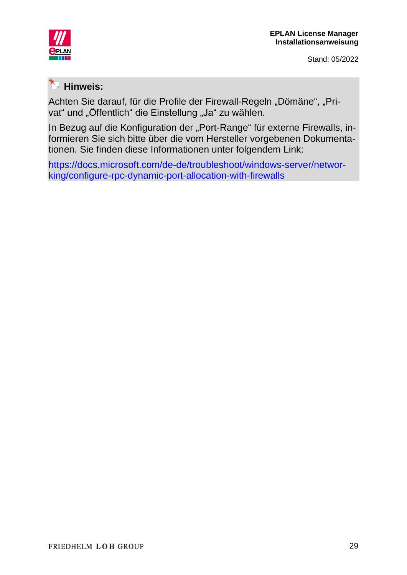

## **Hinweis:**

Achten Sie darauf, für die Profile der Firewall-Regeln "Dömäne", "Privat" und "Öffentlich" die Einstellung "Ja" zu wählen.

In Bezug auf die Konfiguration der "Port-Range" für externe Firewalls, informieren Sie sich bitte über die vom Hersteller vorgebenen Dokumentationen. Sie finden diese Informationen unter folgendem Link:

[https://docs.microsoft.com/de-de/troubleshoot/windows-server/networ](https://docs.microsoft.com/de-de/troubleshoot/windows-server/networking/configure-rpc-dynamic-port-allocation-with-firewalls)[king/configure-rpc-dynamic-port-allocation-with-firewalls](https://docs.microsoft.com/de-de/troubleshoot/windows-server/networking/configure-rpc-dynamic-port-allocation-with-firewalls)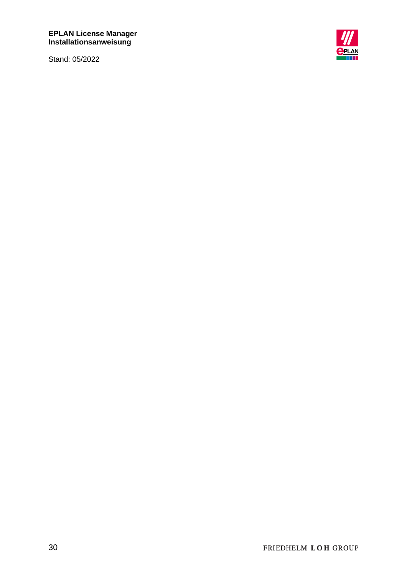Stand: 05/2022

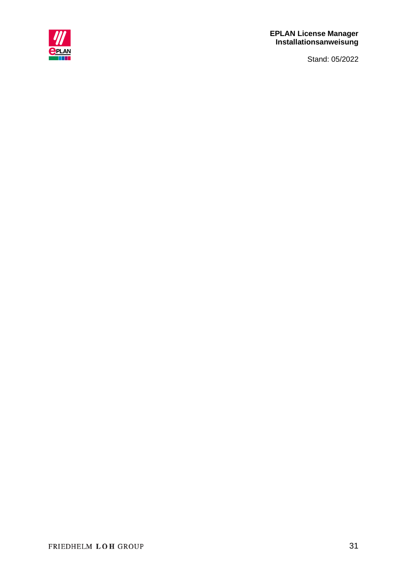

Stand: 05/2022